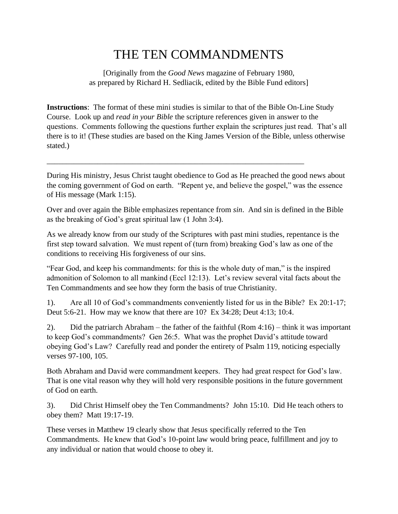## THE TEN COMMANDMENTS

[Originally from the *Good News* magazine of February 1980, as prepared by Richard H. Sedliacik, edited by the Bible Fund editors]

**Instructions**: The format of these mini studies is similar to that of the Bible On-Line Study Course. Look up and *read in your Bible* the scripture references given in answer to the questions. Comments following the questions further explain the scriptures just read. That's all there is to it! (These studies are based on the King James Version of the Bible, unless otherwise stated.)

During His ministry, Jesus Christ taught obedience to God as He preached the good news about the coming government of God on earth. "Repent ye, and believe the gospel," was the essence of His message (Mark 1:15).

\_\_\_\_\_\_\_\_\_\_\_\_\_\_\_\_\_\_\_\_\_\_\_\_\_\_\_\_\_\_\_\_\_\_\_\_\_\_\_\_\_\_\_\_\_\_\_\_\_\_\_\_\_\_\_\_\_\_\_\_\_\_\_\_\_\_

Over and over again the Bible emphasizes repentance from *sin*. And sin is defined in the Bible as the breaking of God's great spiritual law (1 John 3:4).

As we already know from our study of the Scriptures with past mini studies, repentance is the first step toward salvation. We must repent of (turn from) breaking God's law as one of the conditions to receiving His forgiveness of our sins.

"Fear God, and keep his commandments: for this is the whole duty of man," is the inspired admonition of Solomon to all mankind (Eccl 12:13). Let's review several vital facts about the Ten Commandments and see how they form the basis of true Christianity.

1). Are all 10 of God's commandments conveniently listed for us in the Bible? Ex 20:1-17; Deut 5:6-21. How may we know that there are 10? Ex 34:28; Deut 4:13; 10:4.

2). Did the patriarch Abraham – the father of the faithful (Rom 4:16) – think it was important to keep God's commandments? Gen 26:5. What was the prophet David's attitude toward obeying God's Law? Carefully read and ponder the entirety of Psalm 119, noticing especially verses 97-100, 105.

Both Abraham and David were commandment keepers. They had great respect for God's law. That is one vital reason why they will hold very responsible positions in the future government of God on earth.

3). Did Christ Himself obey the Ten Commandments? John 15:10. Did He teach others to obey them? Matt 19:17-19.

These verses in Matthew 19 clearly show that Jesus specifically referred to the Ten Commandments. He knew that God's 10-point law would bring peace, fulfillment and joy to any individual or nation that would choose to obey it.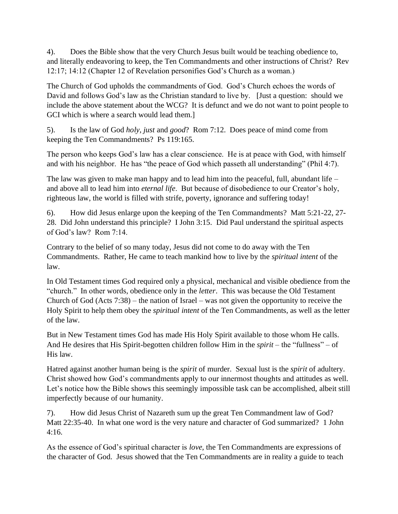4). Does the Bible show that the very Church Jesus built would be teaching obedience to, and literally endeavoring to keep, the Ten Commandments and other instructions of Christ? Rev 12:17; 14:12 (Chapter 12 of Revelation personifies God's Church as a woman.)

The Church of God upholds the commandments of God. God's Church echoes the words of David and follows God's law as the Christian standard to live by. [Just a question: should we include the above statement about the WCG? It is defunct and we do not want to point people to GCI which is where a search would lead them.]

5). Is the law of God *holy, just* and *good*? Rom 7:12. Does peace of mind come from keeping the Ten Commandments? Ps 119:165.

The person who keeps God's law has a clear conscience. He is at peace with God, with himself and with his neighbor. He has "the peace of God which passeth all understanding" (Phil 4:7).

The law was given to make man happy and to lead him into the peaceful, full, abundant life – and above all to lead him into *eternal life*. But because of disobedience to our Creator's holy, righteous law, the world is filled with strife, poverty, ignorance and suffering today!

6). How did Jesus enlarge upon the keeping of the Ten Commandments? Matt 5:21-22, 27- 28. Did John understand this principle? I John 3:15. Did Paul understand the spiritual aspects of God's law? Rom 7:14.

Contrary to the belief of so many today, Jesus did not come to do away with the Ten Commandments. Rather, He came to teach mankind how to live by the *spiritual intent* of the law.

In Old Testament times God required only a physical, mechanical and visible obedience from the "church." In other words, obedience only in the *letter*. This was because the Old Testament Church of God (Acts 7:38) – the nation of Israel – was not given the opportunity to receive the Holy Spirit to help them obey the *spiritual intent* of the Ten Commandments, as well as the letter of the law.

But in New Testament times God has made His Holy Spirit available to those whom He calls. And He desires that His Spirit-begotten children follow Him in the *spirit* – the "fullness" – of His law.

Hatred against another human being is the *spirit* of murder. Sexual lust is the *spirit* of adultery. Christ showed how God's commandments apply to our innermost thoughts and attitudes as well. Let's notice how the Bible shows this seemingly impossible task can be accomplished, albeit still imperfectly because of our humanity.

7). How did Jesus Christ of Nazareth sum up the great Ten Commandment law of God? Matt 22:35-40. In what one word is the very nature and character of God summarized? 1 John 4:16.

As the essence of God's spiritual character is *love,* the Ten Commandments are expressions of the character of God. Jesus showed that the Ten Commandments are in reality a guide to teach